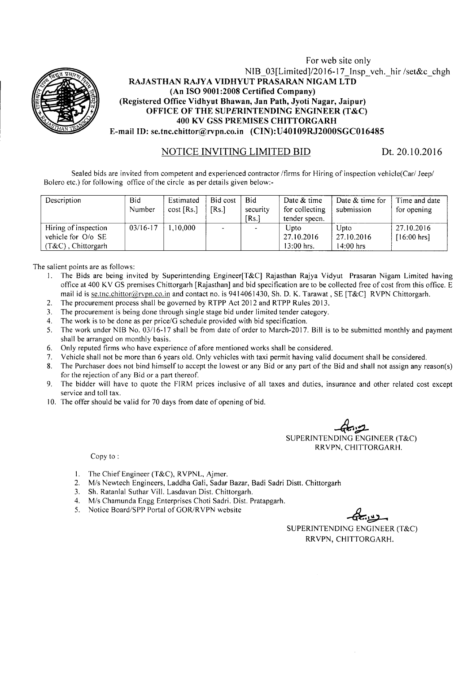

#### For web site only NIB\_03[Limited]/2016-17 Insp\_veh.\_hir /set&c\_chgh RAJASTHAN RAJYA VIDHYUT PRASARAN NIGAM LTD (An ISO 9001:2008 Certified Company) (Registered Office Vidhyut Bhawan, Jan Path, Jyoti Nagar, Jaipur) OFFICE OF THE SUPERINTENDING ENGINEER (T&C) 400 KV GSS PREMISES CHITTORGARH E-mail ID: se.tnc.chittor@rvpn.co.in (CIN): U40109RJ2000SGC016485

#### NOTICE INVITING LIMITED BID Dt. 20.10.2016

Sealed bids are invited from competent and experienced contractor /firms for Hiring of inspection vehicle(Car/ Jeep/ Bolero etc.) for following office of the circle as per details given below:-

| Description           | <b>Bid</b><br>Number | Estimated<br>$cost$ [Rs.] | Bid cost<br>[Rs.] | Bid<br>security<br>[Rs.] | Date & time<br>for collecting<br>tender specn. | Date & time for<br>submission | Time and date<br>for opening |
|-----------------------|----------------------|---------------------------|-------------------|--------------------------|------------------------------------------------|-------------------------------|------------------------------|
| Hiring of inspection  | $03/16 - 17$         | $0.000$ .                 |                   |                          | Upto                                           | Upto                          | 27.10.2016                   |
| vehicle for O/o SE    |                      |                           |                   |                          | 27.10.2016                                     | 27.10.2016                    | $[16:00 \text{ hrs}]$        |
| $(T&C)$ , Chittorgarh |                      |                           |                   |                          | $13:00$ hrs.                                   | 14:00 hrs                     |                              |

The salient points are as follows:

- I. The Bids are being invited by Superintending Engineer[T&C] Rajasthan Rajya Vidyut Prasaran Nigam Limited having office at 400 KV GS premises Chittorgarh [Rajasthan] and bid specification are to be collected free of cost from this office. E mail id is se.tnc.chittor@rvpn.co.in and contact no. is 9414061430, Sh. D. K. Tarawat, SE [T&C] RVPN Chittorgarh.
- 2. The procurement process shall be governed by RTPP Act 2012 and RTPP Rules 2013.
- 3. The procurement is being done through single stage bid under limited tender category.
- 4. The work is to be done as per *price/G* schedule provided with bid specification.
- S. The work under NIB No. 03/16-17 shall be from date of order to March-20 17. Bill is to be submitted monthly and payment shall be arranged on monthly basis.
- 6. Only reputed firms who have experience of afore mentioned works shall be considered.
- 7. Vehicle shall not be more than 6 years old. Only vehicles with taxi permit having valid document shall be considered.
- 8. The Purchaser does not bind himself to accept the lowest or any Bid or any part of the Bid and shall not assign any reason(s) for the rejection of any Bid or a part thereof.
- 9. The bidder will have to quote the FIRM prices inclusive of all taxes and duties, insurance and other related cost except service and toll tax.
- 10. The offer should be valid for 70 days from date of opening of bid.

—<del>t</del> SUPERINTENDING ENGINEER (T&C) RRVPN, CHITTORGARH.

Copy to:

- 1. The Chief Engineer (T&C), RVPNL, Ajmer.
- *2. Mis* Newtech Engineers, Laddha Gali, Sadar Bazar, Badi Sadri Distt. Chittorgarh
- 3. Sh. Ratanlal Suthar Vill. Lasdavan Dist. Chittorgarh.
- *4. Mis* Chamunda Engg Enterprises Choti Sadri. Dist. Pratapgarh.
- 5. Notice Board/SPP Portal of GOR/RVPN website

SUPERINTENDING ENGINEER (T&C) RRVPN, CHITTORGARH.